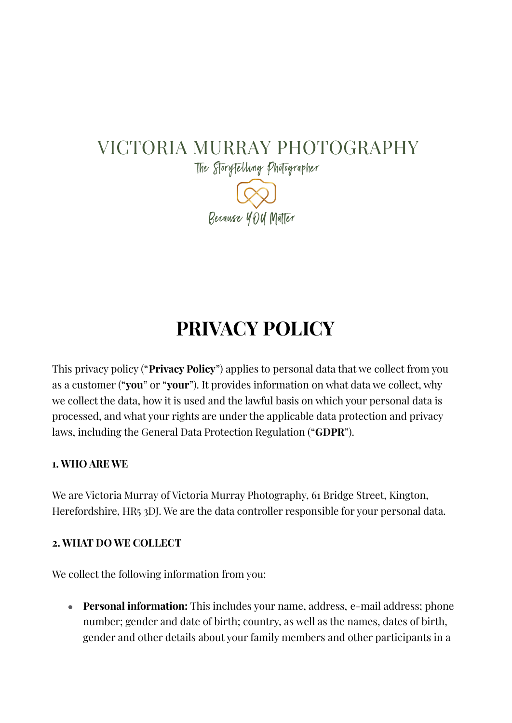## VICTORIA MURRAY PHOTOGRAPHY

The Storytelling Photographer Berause YOU Maller

# **PRIVACY POLICY**

This privacy policy ("**Privacy Policy**") applies to personal data that we collect from you as a customer ("**you**" or "**your**"). It provides information on what data we collect, why we collect the data, how it is used and the lawful basis on which your personal data is processed, and what your rights are under the applicable data protection and privacy laws, including the General Data Protection Regulation ("**GDPR**").

#### **1. WHO ARE WE**

We are Victoria Murray of Victoria Murray Photography, 61 Bridge Street, Kington, Herefordshire, HR5 3DJ. We are the data controller responsible for your personal data.

#### **2. WHAT DO WE COLLECT**

We collect the following information from you:

● **Personal information:** This includes your name, address, e-mail address; phone number; gender and date of birth; country, as well as the names, dates of birth, gender and other details about your family members and other participants in a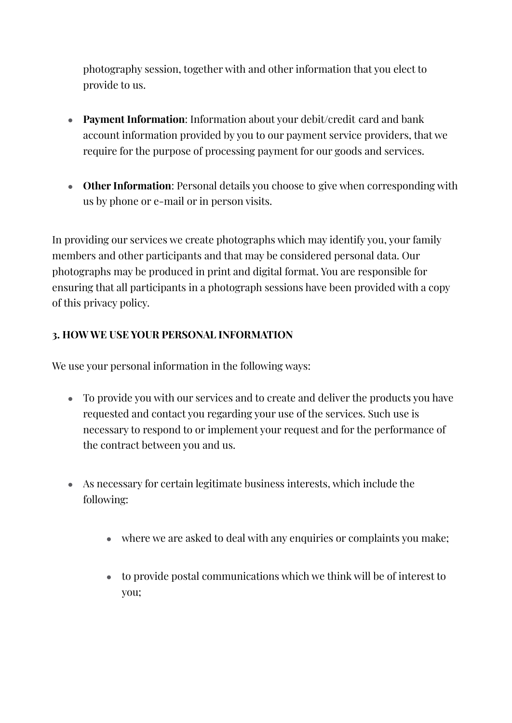photography session, together with and other information that you elect to provide to us.

- **Payment Information**: Information about your debit/credit card and bank account information provided by you to our payment service providers, that we require for the purpose of processing payment for our goods and services.
- **Other Information**: Personal details you choose to give when corresponding with us by phone or e-mail or in person visits.

In providing our services we create photographs which may identify you, your family members and other participants and that may be considered personal data. Our photographs may be produced in print and digital format. You are responsible for ensuring that all participants in a photograph sessions have been provided with a copy of this privacy policy.

#### **3. HOW WE USE YOUR PERSONAL INFORMATION**

We use your personal information in the following ways:

- To provide you with our services and to create and deliver the products you have requested and contact you regarding your use of the services. Such use is necessary to respond to or implement your request and for the performance of the contract between you and us.
- As necessary for certain legitimate business interests, which include the following:
	- where we are asked to deal with any enquiries or complaints you make;
	- to provide postal communications which we think will be of interest to you;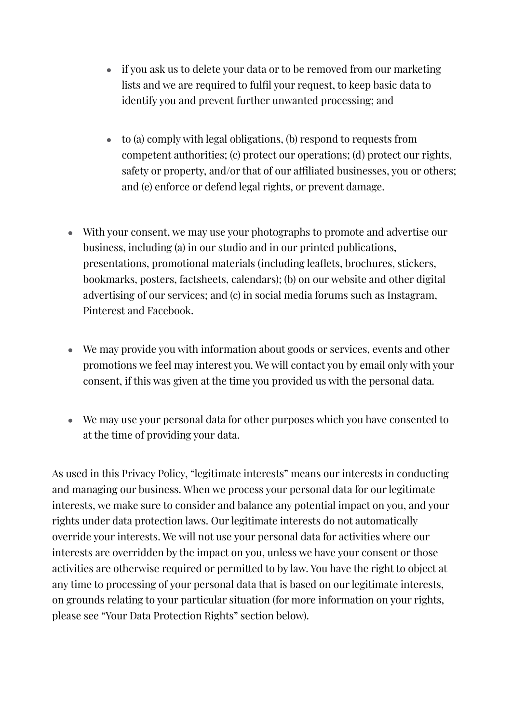- if you ask us to delete your data or to be removed from our marketing lists and we are required to fulfil your request, to keep basic data to identify you and prevent further unwanted processing; and
- $\bullet$  to (a) comply with legal obligations, (b) respond to requests from competent authorities; (c) protect our operations; (d) protect our rights, safety or property, and/or that of our affiliated businesses, you or others; and (e) enforce or defend legal rights, or prevent damage.
- With your consent, we may use your photographs to promote and advertise our business, including (a) in our studio and in our printed publications, presentations, promotional materials (including leaflets, brochures, stickers, bookmarks, posters, factsheets, calendars); (b) on our website and other digital advertising of our services; and (c) in social media forums such as Instagram, Pinterest and Facebook.
- We may provide you with information about goods or services, events and other promotions we feel may interest you. We will contact you by email only with your consent, if this was given at the time you provided us with the personal data.
- We may use your personal data for other purposes which you have consented to at the time of providing your data.

As used in this Privacy Policy, "legitimate interests" means our interests in conducting and managing our business. When we process your personal data for our legitimate interests, we make sure to consider and balance any potential impact on you, and your rights under data protection laws. Our legitimate interests do not automatically override your interests. We will not use your personal data for activities where our interests are overridden by the impact on you, unless we have your consent or those activities are otherwise required or permitted to by law. You have the right to object at any time to processing of your personal data that is based on our legitimate interests, on grounds relating to your particular situation (for more information on your rights, please see "Your Data Protection Rights" section below).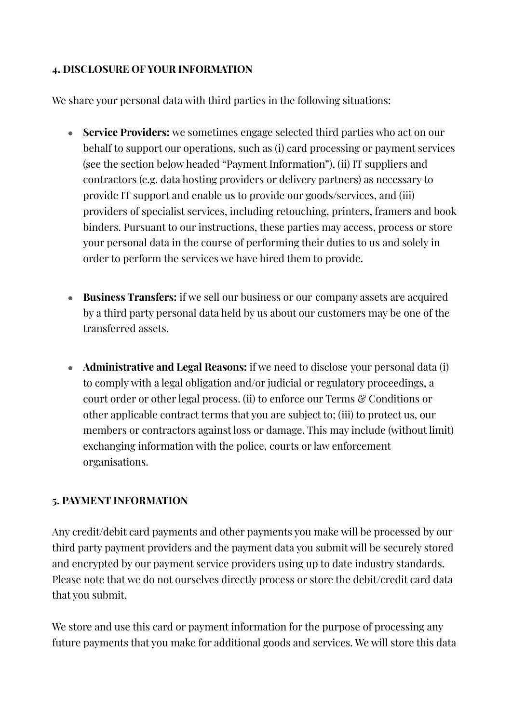#### **4. DISCLOSURE OF YOUR INFORMATION**

We share your personal data with third parties in the following situations:

- **Service Providers:** we sometimes engage selected third parties who act on our behalf to support our operations, such as (i) card processing or payment services (see the section below headed "Payment Information"), (ii) IT suppliers and contractors (e.g. data hosting providers or delivery partners) as necessary to provide IT support and enable us to provide our goods/services, and (iii) providers of specialist services, including retouching, printers, framers and book binders. Pursuant to our instructions, these parties may access, process or store your personal data in the course of performing their duties to us and solely in order to perform the services we have hired them to provide.
- **Business Transfers:** if we sell our business or our company assets are acquired by a third party personal data held by us about our customers may be one of the transferred assets.
- **Administrative and Legal Reasons:** if we need to disclose your personal data (i) to comply with a legal obligation and/or judicial or regulatory proceedings, a court order or other legal process. (ii) to enforce our Terms & Conditions or other applicable contract terms that you are subject to; (iii) to protect us, our members or contractors against loss or damage. This may include (without limit) exchanging information with the police, courts or law enforcement organisations.

#### **5. PAYMENT INFORMATION**

Any credit/debit card payments and other payments you make will be processed by our third party payment providers and the payment data you submit will be securely stored and encrypted by our payment service providers using up to date industry standards. Please note that we do not ourselves directly process or store the debit/credit card data that you submit.

We store and use this card or payment information for the purpose of processing any future payments that you make for additional goods and services. We will store this data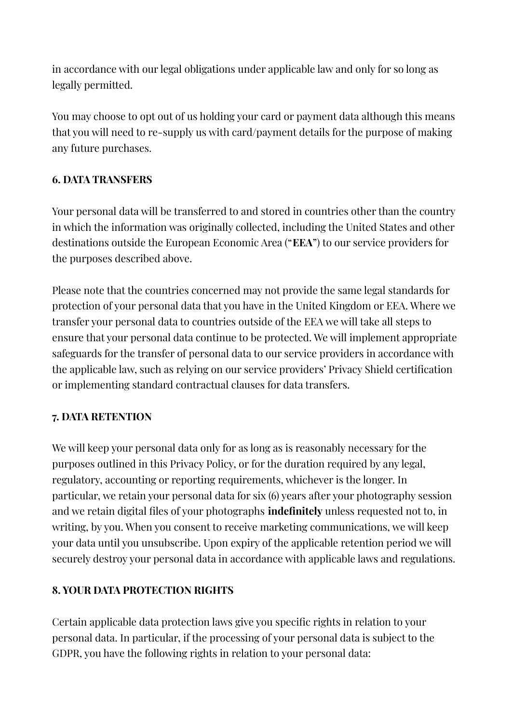in accordance with our legal obligations under applicable law and only for so long as legally permitted.

You may choose to opt out of us holding your card or payment data although this means that you will need to re-supply us with card/payment details for the purpose of making any future purchases.

### **6. DATA TRANSFERS**

Your personal data will be transferred to and stored in countries other than the country in which the information was originally collected, including the United States and other destinations outside the European Economic Area ("**EEA**") to our service providers for the purposes described above.

Please note that the countries concerned may not provide the same legal standards for protection of your personal data that you have in the United Kingdom or EEA. Where we transfer your personal data to countries outside of the EEA we will take all steps to ensure that your personal data continue to be protected. We will implement appropriate safeguards for the transfer of personal data to our service providers in accordance with the applicable law, such as relying on our service providers' Privacy Shield certification or implementing standard contractual clauses for data transfers.

#### **7. DATA RETENTION**

We will keep your personal data only for as long as is reasonably necessary for the purposes outlined in this Privacy Policy, or for the duration required by any legal, regulatory, accounting or reporting requirements, whichever is the longer. In particular, we retain your personal data for six (6) years after your photography session and we retain digital files of your photographs **indefinitely** unless requested not to, in writing, by you. When you consent to receive marketing communications, we will keep your data until you unsubscribe. Upon expiry of the applicable retention period we will securely destroy your personal data in accordance with applicable laws and regulations.

#### **8. YOUR DATA PROTECTION RIGHTS**

Certain applicable data protection laws give you specific rights in relation to your personal data. In particular, if the processing of your personal data is subject to the GDPR, you have the following rights in relation to your personal data: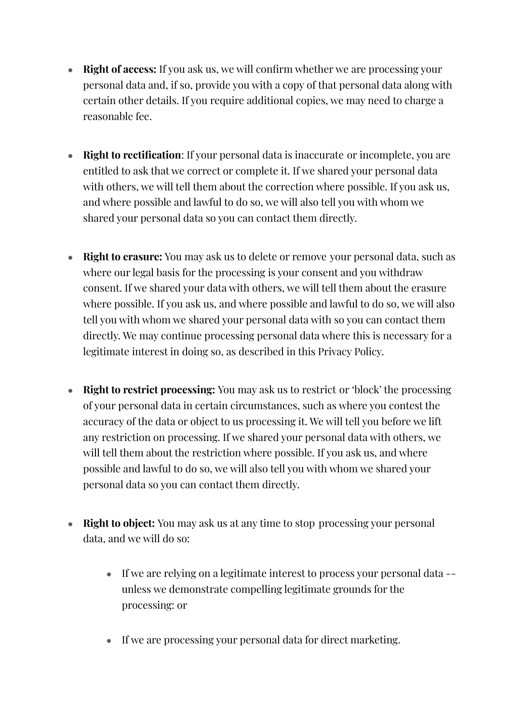- **Right of access:** If you ask us, we will confirm whether we are processing your personal data and, if so, provide you with a copy of that personal data along with certain other details. If you require additional copies, we may need to charge a reasonable fee.
- **Right to rectification**: If your personal data is inaccurate or incomplete, you are entitled to ask that we correct or complete it. If we shared your personal data with others, we will tell them about the correction where possible. If you ask us, and where possible and lawful to do so, we will also tell you with whom we shared your personal data so you can contact them directly.
- **Right to erasure:** You may ask us to delete or remove your personal data, such as where our legal basis for the processing is your consent and you withdraw consent. If we shared your data with others, we will tell them about the erasure where possible. If you ask us, and where possible and lawful to do so, we will also tell you with whom we shared your personal data with so you can contact them directly. We may continue processing personal data where this is necessary for a legitimate interest in doing so, as described in this Privacy Policy.
- **Right to restrict processing:** You may ask us to restrict or 'block' the processing of your personal data in certain circumstances, such as where you contest the accuracy of the data or object to us processing it. We will tell you before we lift any restriction on processing. If we shared your personal data with others, we will tell them about the restriction where possible. If you ask us, and where possible and lawful to do so, we will also tell you with whom we shared your personal data so you can contact them directly.
- **Right to object:** You may ask us at any time to stop processing your personal data, and we will do so:
	- If we are relying on a legitimate interest to process your personal data -unless we demonstrate compelling legitimate grounds for the processing: or
	- If we are processing your personal data for direct marketing.